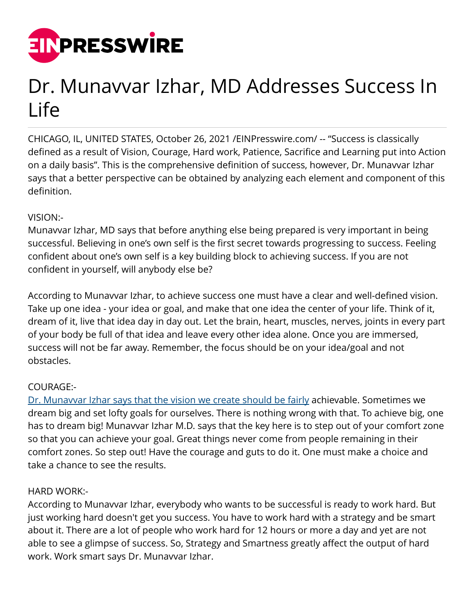

# Dr. Munavvar Izhar, MD Addresses Success In Life

CHICAGO, IL, UNITED STATES, October 26, 2021 /[EINPresswire.com/](http://www.einpresswire.com) -- "Success is classically defined as a result of Vision, Courage, Hard work, Patience, Sacrifice and Learning put into Action on a daily basis". This is the comprehensive definition of success, however, Dr. Munavvar Izhar says that a better perspective can be obtained by analyzing each element and component of this definition.

## VISION:-

Munavvar Izhar, MD says that before anything else being prepared is very important in being successful. Believing in one's own self is the first secret towards progressing to success. Feeling confident about one's own self is a key building block to achieving success. If you are not confident in yourself, will anybody else be?

According to Munavvar Izhar, to achieve success one must have a clear and well-defined vision. Take up one idea - your idea or goal, and make that one idea the center of your life. Think of it, dream of it, live that idea day in day out. Let the brain, heart, muscles, nerves, joints in every part of your body be full of that idea and leave every other idea alone. Once you are immersed, success will not be far away. Remember, the focus should be on your idea/goal and not obstacles.

## COURAGE:-

[Dr. Munavvar Izhar says that the vision we create should be fairly](https://medium.com/@DrMunavvarIzhar) achievable. Sometimes we dream big and set lofty goals for ourselves. There is nothing wrong with that. To achieve big, one has to dream big! Munavvar Izhar M.D. says that the key here is to step out of your comfort zone so that you can achieve your goal. Great things never come from people remaining in their comfort zones. So step out! Have the courage and guts to do it. One must make a choice and take a chance to see the results.

## HARD WORK:-

According to Munavvar Izhar, everybody who wants to be successful is ready to work hard. But just working hard doesn't get you success. You have to work hard with a strategy and be smart about it. There are a lot of people who work hard for 12 hours or more a day and yet are not able to see a glimpse of success. So, Strategy and Smartness greatly affect the output of hard work. Work smart says Dr. Munavvar Izhar.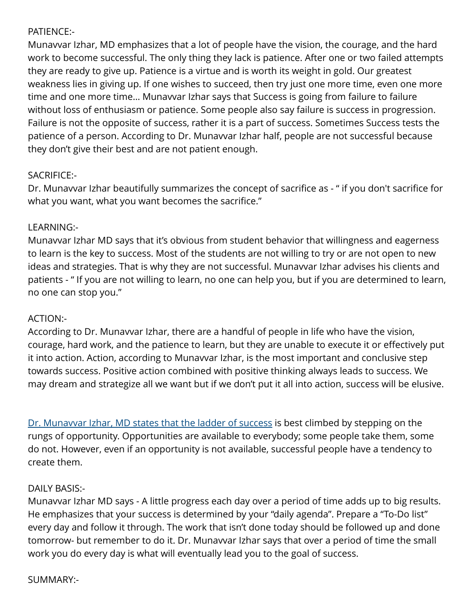## PATIENCE:-

Munavvar Izhar, MD emphasizes that a lot of people have the vision, the courage, and the hard work to become successful. The only thing they lack is patience. After one or two failed attempts they are ready to give up. Patience is a virtue and is worth its weight in gold. Our greatest weakness lies in giving up. If one wishes to succeed, then try just one more time, even one more time and one more time… Munavvar Izhar says that Success is going from failure to failure without loss of enthusiasm or patience. Some people also say failure is success in progression. Failure is not the opposite of success, rather it is a part of success. Sometimes Success tests the patience of a person. According to Dr. Munavvar Izhar half, people are not successful because they don't give their best and are not patient enough.

# SACRIFICE:-

Dr. Munavvar Izhar beautifully summarizes the concept of sacrifice as - " if you don't sacrifice for what you want, what you want becomes the sacrifice."

## LEARNING:-

Munavvar Izhar MD says that it's obvious from student behavior that willingness and eagerness to learn is the key to success. Most of the students are not willing to try or are not open to new ideas and strategies. That is why they are not successful. Munavvar Izhar advises his clients and patients - " If you are not willing to learn, no one can help you, but if you are determined to learn, no one can stop you."

## ACTION:-

According to Dr. Munavvar Izhar, there are a handful of people in life who have the vision, courage, hard work, and the patience to learn, but they are unable to execute it or effectively put it into action. Action, according to Munavvar Izhar, is the most important and conclusive step towards success. Positive action combined with positive thinking always leads to success. We may dream and strategize all we want but if we don't put it all into action, success will be elusive.

[Dr. Munavvar Izhar, MD states that the ladder of success](https://muckrack.com/dr-munavvar-izhar) is best climbed by stepping on the rungs of opportunity. Opportunities are available to everybody; some people take them, some do not. However, even if an opportunity is not available, successful people have a tendency to create them.

## DAILY BASIS:-

Munavvar Izhar MD says - A little progress each day over a period of time adds up to big results. He emphasizes that your success is determined by your "daily agenda". Prepare a "To-Do list" every day and follow it through. The work that isn't done today should be followed up and done tomorrow- but remember to do it. Dr. Munavvar Izhar says that over a period of time the small work you do every day is what will eventually lead you to the goal of success.

## SUMMARY:-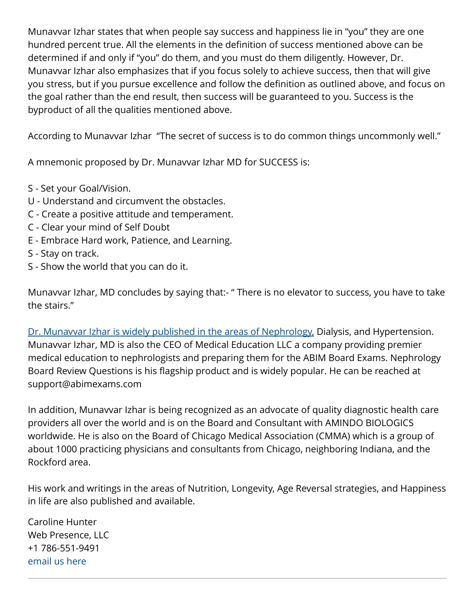Munavvar Izhar states that when people say success and happiness lie in "you" they are one hundred percent true. All the elements in the definition of success mentioned above can be determined if and only if "you" do them, and you must do them diligently. However, Dr. Munavvar Izhar also emphasizes that if you focus solely to achieve success, then that will give you stress, but if you pursue excellence and follow the definition as outlined above, and focus on the goal rather than the end result, then success will be guaranteed to you. Success is the byproduct of all the qualities mentioned above.

According to Munavvar Izhar "The secret of success is to do common things uncommonly well."

A mnemonic proposed by Dr. Munavvar Izhar MD for SUCCESS is:

- S Set your Goal/Vision.
- U Understand and circumvent the obstacles.
- C Create a positive attitude and temperament.
- C Clear your mind of Self Doubt
- E Embrace Hard work, Patience, and Learning.
- S Stay on track.
- S Show the world that you can do it.

Munavvar Izhar, MD concludes by saying that:- " There is no elevator to success, you have to take the stairs."

[Dr. Munavvar Izhar is widely published in the areas of Nephrology,](https://www.crunchbase.com/person/dr-munavvar-izhar) Dialysis, and Hypertension. Munavvar Izhar, MD is also the CEO of Medical Education LLC a company providing premier medical education to nephrologists and preparing them for the ABIM Board Exams. Nephrology Board Review Questions is his flagship product and is widely popular. He can be reached at support@abimexams.com

In addition, Munavvar Izhar is being recognized as an advocate of quality diagnostic health care providers all over the world and is on the Board and Consultant with AMINDO BIOLOGICS worldwide. He is also on the Board of Chicago Medical Association (CMMA) which is a group of about 1000 practicing physicians and consultants from Chicago, neighboring Indiana, and the Rockford area.

His work and writings in the areas of Nutrition, Longevity, Age Reversal strategies, and Happiness in life are also published and available.

Caroline Hunter Web Presence, LLC +1 786-551-9491 [email us here](http://www.einpresswire.com/contact_author/3185989)